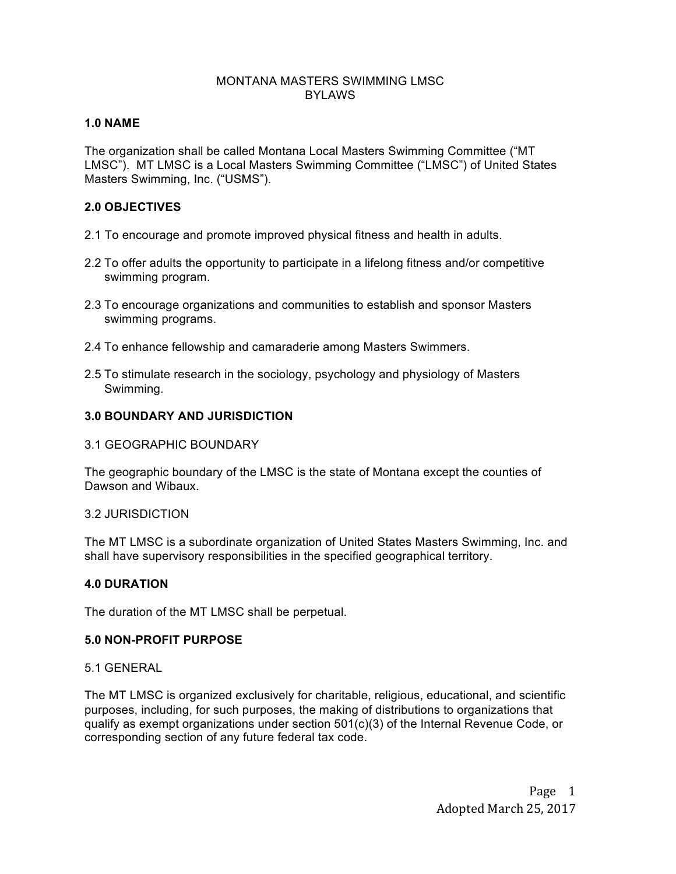# MONTANA MASTERS SWIMMING LMSC BYLAWS

# **1.0 NAME**

The organization shall be called Montana Local Masters Swimming Committee ("MT LMSC"). MT LMSC is a Local Masters Swimming Committee ("LMSC") of United States Masters Swimming, Inc. ("USMS").

# **2.0 OBJECTIVES**

- 2.1 To encourage and promote improved physical fitness and health in adults.
- 2.2 To offer adults the opportunity to participate in a lifelong fitness and/or competitive swimming program.
- 2.3 To encourage organizations and communities to establish and sponsor Masters swimming programs.
- 2.4 To enhance fellowship and camaraderie among Masters Swimmers.
- 2.5 To stimulate research in the sociology, psychology and physiology of Masters Swimming.

# **3.0 BOUNDARY AND JURISDICTION**

3.1 GEOGRAPHIC BOUNDARY

The geographic boundary of the LMSC is the state of Montana except the counties of Dawson and Wibaux.

### 3.2 JURISDICTION

The MT LMSC is a subordinate organization of United States Masters Swimming, Inc. and shall have supervisory responsibilities in the specified geographical territory.

### **4.0 DURATION**

The duration of the MT LMSC shall be perpetual.

### **5.0 NON-PROFIT PURPOSE**

### 5.1 GENERAL

The MT LMSC is organized exclusively for charitable, religious, educational, and scientific purposes, including, for such purposes, the making of distributions to organizations that qualify as exempt organizations under section 501(c)(3) of the Internal Revenue Code, or corresponding section of any future federal tax code.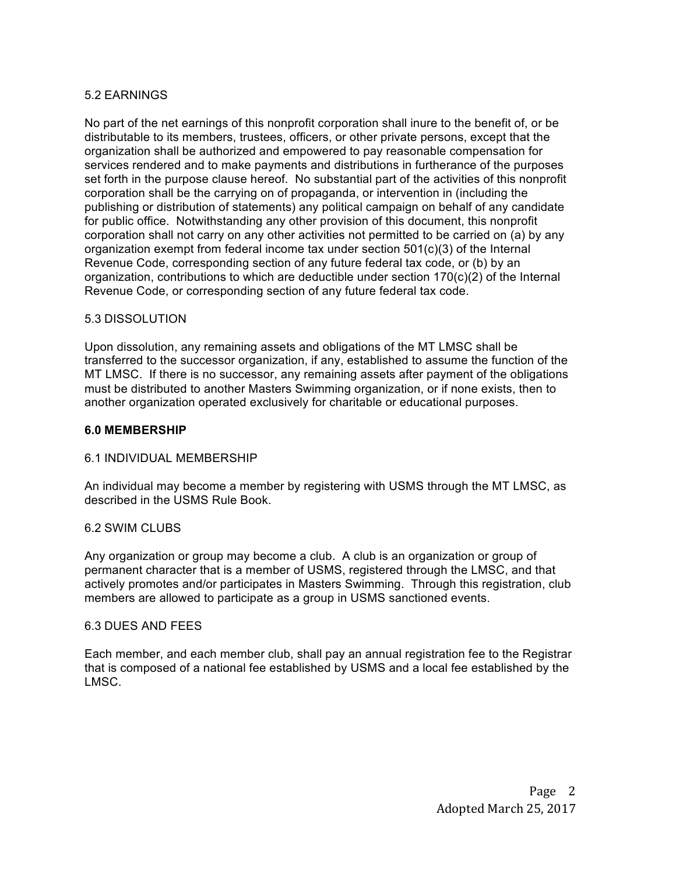# 5.2 EARNINGS

No part of the net earnings of this nonprofit corporation shall inure to the benefit of, or be distributable to its members, trustees, officers, or other private persons, except that the organization shall be authorized and empowered to pay reasonable compensation for services rendered and to make payments and distributions in furtherance of the purposes set forth in the purpose clause hereof. No substantial part of the activities of this nonprofit corporation shall be the carrying on of propaganda, or intervention in (including the publishing or distribution of statements) any political campaign on behalf of any candidate for public office. Notwithstanding any other provision of this document, this nonprofit corporation shall not carry on any other activities not permitted to be carried on (a) by any organization exempt from federal income tax under section 501(c)(3) of the Internal Revenue Code, corresponding section of any future federal tax code, or (b) by an organization, contributions to which are deductible under section 170(c)(2) of the Internal Revenue Code, or corresponding section of any future federal tax code.

# 5.3 DISSOLUTION

Upon dissolution, any remaining assets and obligations of the MT LMSC shall be transferred to the successor organization, if any, established to assume the function of the MT LMSC. If there is no successor, any remaining assets after payment of the obligations must be distributed to another Masters Swimming organization, or if none exists, then to another organization operated exclusively for charitable or educational purposes.

### **6.0 MEMBERSHIP**

### 6.1 INDIVIDUAL MEMBERSHIP

An individual may become a member by registering with USMS through the MT LMSC, as described in the USMS Rule Book.

### 6.2 SWIM CLUBS

Any organization or group may become a club. A club is an organization or group of permanent character that is a member of USMS, registered through the LMSC, and that actively promotes and/or participates in Masters Swimming. Through this registration, club members are allowed to participate as a group in USMS sanctioned events.

### 6.3 DUES AND FEES

Each member, and each member club, shall pay an annual registration fee to the Registrar that is composed of a national fee established by USMS and a local fee established by the LMSC.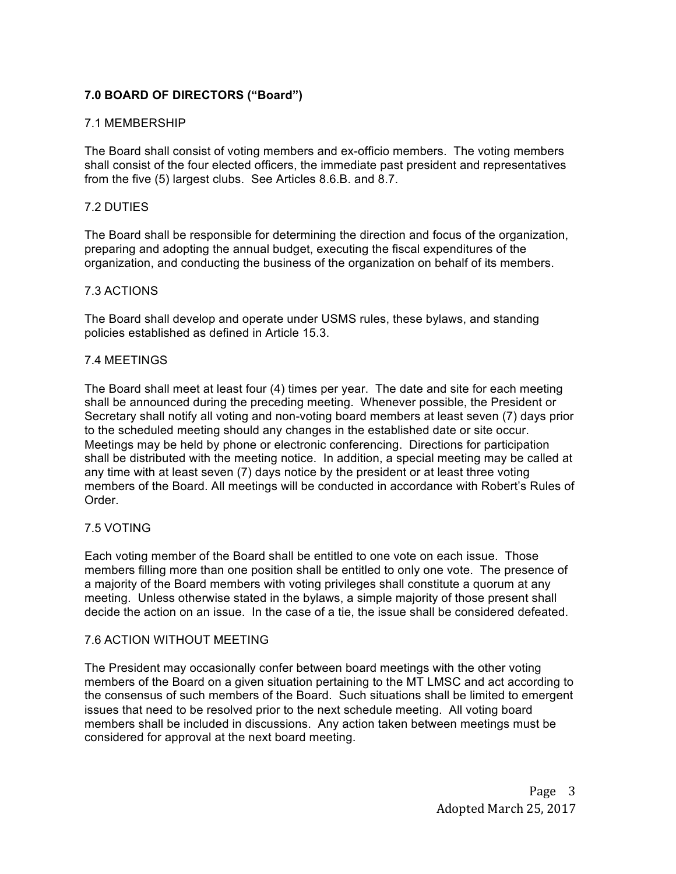# **7.0 BOARD OF DIRECTORS ("Board")**

# 7.1 MEMBERSHIP

The Board shall consist of voting members and ex-officio members. The voting members shall consist of the four elected officers, the immediate past president and representatives from the five (5) largest clubs. See Articles 8.6.B. and 8.7.

# 7.2 DUTIES

The Board shall be responsible for determining the direction and focus of the organization, preparing and adopting the annual budget, executing the fiscal expenditures of the organization, and conducting the business of the organization on behalf of its members.

# 7.3 ACTIONS

The Board shall develop and operate under USMS rules, these bylaws, and standing policies established as defined in Article 15.3.

# 7.4 MEETINGS

The Board shall meet at least four (4) times per year. The date and site for each meeting shall be announced during the preceding meeting. Whenever possible, the President or Secretary shall notify all voting and non-voting board members at least seven (7) days prior to the scheduled meeting should any changes in the established date or site occur. Meetings may be held by phone or electronic conferencing. Directions for participation shall be distributed with the meeting notice. In addition, a special meeting may be called at any time with at least seven (7) days notice by the president or at least three voting members of the Board. All meetings will be conducted in accordance with Robert's Rules of Order.

# 7.5 VOTING

Each voting member of the Board shall be entitled to one vote on each issue. Those members filling more than one position shall be entitled to only one vote. The presence of a majority of the Board members with voting privileges shall constitute a quorum at any meeting. Unless otherwise stated in the bylaws, a simple majority of those present shall decide the action on an issue. In the case of a tie, the issue shall be considered defeated.

### 7.6 ACTION WITHOUT MEETING

The President may occasionally confer between board meetings with the other voting members of the Board on a given situation pertaining to the MT LMSC and act according to the consensus of such members of the Board. Such situations shall be limited to emergent issues that need to be resolved prior to the next schedule meeting. All voting board members shall be included in discussions. Any action taken between meetings must be considered for approval at the next board meeting.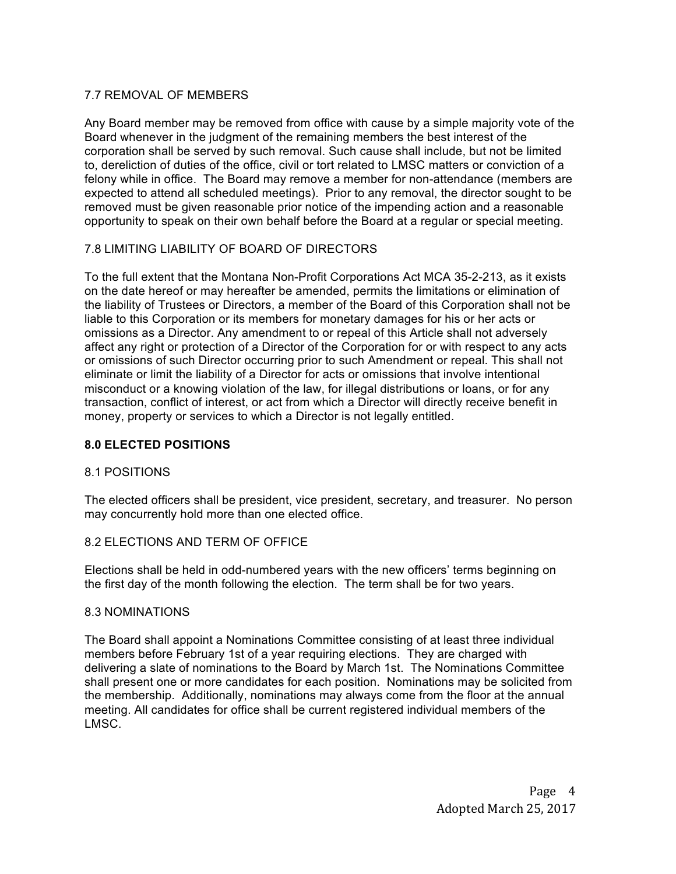# 7.7 REMOVAL OF MEMBERS

Any Board member may be removed from office with cause by a simple majority vote of the Board whenever in the judgment of the remaining members the best interest of the corporation shall be served by such removal. Such cause shall include, but not be limited to, dereliction of duties of the office, civil or tort related to LMSC matters or conviction of a felony while in office. The Board may remove a member for non-attendance (members are expected to attend all scheduled meetings). Prior to any removal, the director sought to be removed must be given reasonable prior notice of the impending action and a reasonable opportunity to speak on their own behalf before the Board at a regular or special meeting.

# 7.8 LIMITING LIABILITY OF BOARD OF DIRECTORS

To the full extent that the Montana Non-Profit Corporations Act MCA 35-2-213, as it exists on the date hereof or may hereafter be amended, permits the limitations or elimination of the liability of Trustees or Directors, a member of the Board of this Corporation shall not be liable to this Corporation or its members for monetary damages for his or her acts or omissions as a Director. Any amendment to or repeal of this Article shall not adversely affect any right or protection of a Director of the Corporation for or with respect to any acts or omissions of such Director occurring prior to such Amendment or repeal. This shall not eliminate or limit the liability of a Director for acts or omissions that involve intentional misconduct or a knowing violation of the law, for illegal distributions or loans, or for any transaction, conflict of interest, or act from which a Director will directly receive benefit in money, property or services to which a Director is not legally entitled.

# **8.0 ELECTED POSITIONS**

### 8.1 POSITIONS

The elected officers shall be president, vice president, secretary, and treasurer. No person may concurrently hold more than one elected office.

### 8.2 ELECTIONS AND TERM OF OFFICE

Elections shall be held in odd-numbered years with the new officers' terms beginning on the first day of the month following the election. The term shall be for two years.

### 8.3 NOMINATIONS

The Board shall appoint a Nominations Committee consisting of at least three individual members before February 1st of a year requiring elections. They are charged with delivering a slate of nominations to the Board by March 1st. The Nominations Committee shall present one or more candidates for each position. Nominations may be solicited from the membership. Additionally, nominations may always come from the floor at the annual meeting. All candidates for office shall be current registered individual members of the LMSC.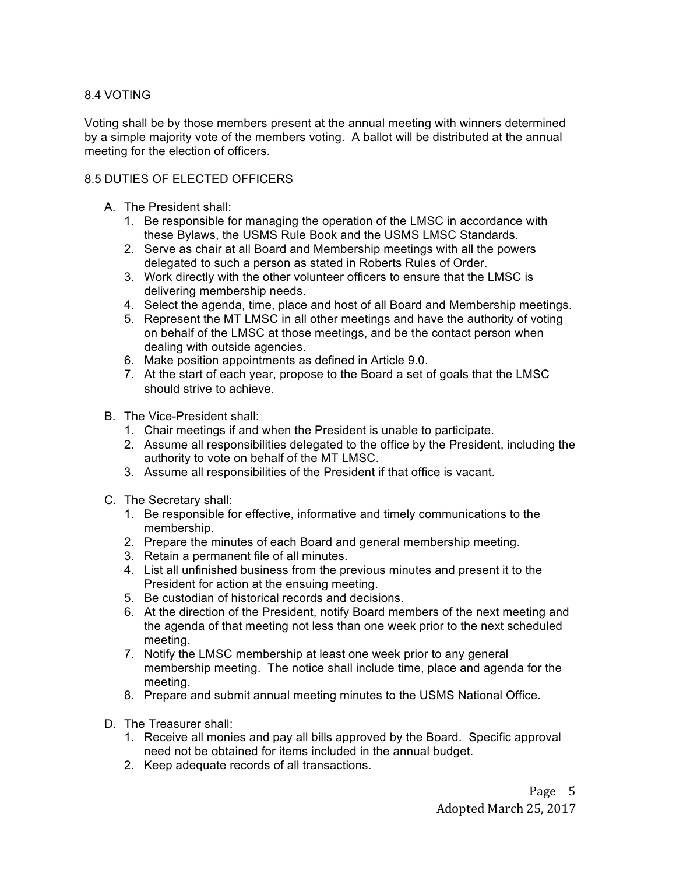# 8.4 VOTING

Voting shall be by those members present at the annual meeting with winners determined by a simple majority vote of the members voting. A ballot will be distributed at the annual meeting for the election of officers.

# 8.5 DUTIES OF ELECTED OFFICERS

- A. The President shall:
	- 1. Be responsible for managing the operation of the LMSC in accordance with these Bylaws, the USMS Rule Book and the USMS LMSC Standards.
	- 2. Serve as chair at all Board and Membership meetings with all the powers delegated to such a person as stated in Roberts Rules of Order.
	- 3. Work directly with the other volunteer officers to ensure that the LMSC is delivering membership needs.
	- 4. Select the agenda, time, place and host of all Board and Membership meetings.
	- 5. Represent the MT LMSC in all other meetings and have the authority of voting on behalf of the LMSC at those meetings, and be the contact person when dealing with outside agencies.
	- 6. Make position appointments as defined in Article 9.0.
	- 7. At the start of each year, propose to the Board a set of goals that the LMSC should strive to achieve.
- B. The Vice-President shall:
	- 1. Chair meetings if and when the President is unable to participate.
	- 2. Assume all responsibilities delegated to the office by the President, including the authority to vote on behalf of the MT LMSC.
	- 3. Assume all responsibilities of the President if that office is vacant.
- C. The Secretary shall:
	- 1. Be responsible for effective, informative and timely communications to the membership.
	- 2. Prepare the minutes of each Board and general membership meeting.
	- 3. Retain a permanent file of all minutes.
	- 4. List all unfinished business from the previous minutes and present it to the President for action at the ensuing meeting.
	- 5. Be custodian of historical records and decisions.
	- 6. At the direction of the President, notify Board members of the next meeting and the agenda of that meeting not less than one week prior to the next scheduled meeting.
	- 7. Notify the LMSC membership at least one week prior to any general membership meeting. The notice shall include time, place and agenda for the meeting.
	- 8. Prepare and submit annual meeting minutes to the USMS National Office.
- D. The Treasurer shall:
	- 1. Receive all monies and pay all bills approved by the Board. Specific approval need not be obtained for items included in the annual budget.
	- 2. Keep adequate records of all transactions.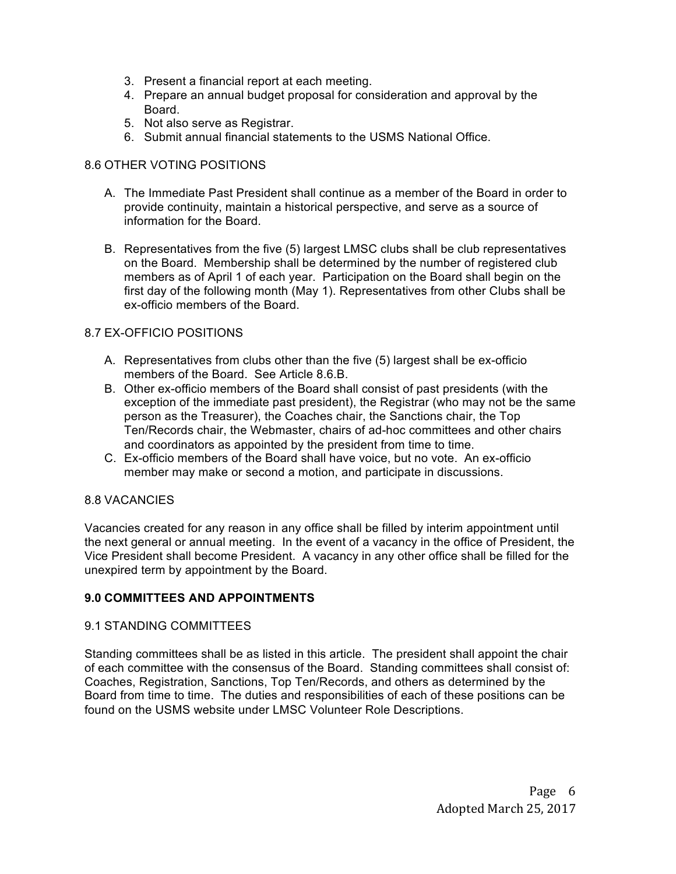- 3. Present a financial report at each meeting.
- 4. Prepare an annual budget proposal for consideration and approval by the Board.
- 5. Not also serve as Registrar.
- 6. Submit annual financial statements to the USMS National Office.

# 8.6 OTHER VOTING POSITIONS

- A. The Immediate Past President shall continue as a member of the Board in order to provide continuity, maintain a historical perspective, and serve as a source of information for the Board.
- B. Representatives from the five (5) largest LMSC clubs shall be club representatives on the Board. Membership shall be determined by the number of registered club members as of April 1 of each year. Participation on the Board shall begin on the first day of the following month (May 1). Representatives from other Clubs shall be ex-officio members of the Board.

# 8.7 EX-OFFICIO POSITIONS

- A. Representatives from clubs other than the five (5) largest shall be ex-officio members of the Board. See Article 8.6.B.
- B. Other ex-officio members of the Board shall consist of past presidents (with the exception of the immediate past president), the Registrar (who may not be the same person as the Treasurer), the Coaches chair, the Sanctions chair, the Top Ten/Records chair, the Webmaster, chairs of ad-hoc committees and other chairs and coordinators as appointed by the president from time to time.
- C. Ex-officio members of the Board shall have voice, but no vote. An ex-officio member may make or second a motion, and participate in discussions.

# 8.8 VACANCIES

Vacancies created for any reason in any office shall be filled by interim appointment until the next general or annual meeting. In the event of a vacancy in the office of President, the Vice President shall become President. A vacancy in any other office shall be filled for the unexpired term by appointment by the Board.

# **9.0 COMMITTEES AND APPOINTMENTS**

### 9.1 STANDING COMMITTEES

Standing committees shall be as listed in this article. The president shall appoint the chair of each committee with the consensus of the Board. Standing committees shall consist of: Coaches, Registration, Sanctions, Top Ten/Records, and others as determined by the Board from time to time. The duties and responsibilities of each of these positions can be found on the USMS website under LMSC Volunteer Role Descriptions.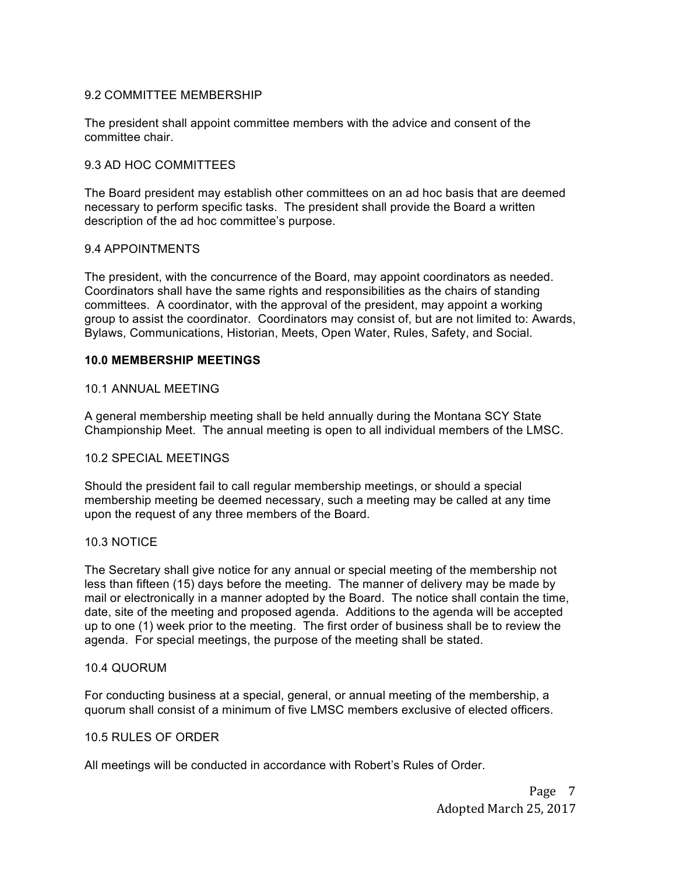# 9.2 COMMITTEE MEMBERSHIP

The president shall appoint committee members with the advice and consent of the committee chair.

# 9.3 AD HOC COMMITTEES

The Board president may establish other committees on an ad hoc basis that are deemed necessary to perform specific tasks. The president shall provide the Board a written description of the ad hoc committee's purpose.

# 9.4 APPOINTMENTS

The president, with the concurrence of the Board, may appoint coordinators as needed. Coordinators shall have the same rights and responsibilities as the chairs of standing committees. A coordinator, with the approval of the president, may appoint a working group to assist the coordinator. Coordinators may consist of, but are not limited to: Awards, Bylaws, Communications, Historian, Meets, Open Water, Rules, Safety, and Social.

# **10.0 MEMBERSHIP MEETINGS**

### 10.1 ANNUAL MEETING

A general membership meeting shall be held annually during the Montana SCY State Championship Meet. The annual meeting is open to all individual members of the LMSC.

### 10.2 SPECIAL MEETINGS

Should the president fail to call regular membership meetings, or should a special membership meeting be deemed necessary, such a meeting may be called at any time upon the request of any three members of the Board.

### 10.3 NOTICE

The Secretary shall give notice for any annual or special meeting of the membership not less than fifteen (15) days before the meeting. The manner of delivery may be made by mail or electronically in a manner adopted by the Board. The notice shall contain the time, date, site of the meeting and proposed agenda. Additions to the agenda will be accepted up to one (1) week prior to the meeting. The first order of business shall be to review the agenda. For special meetings, the purpose of the meeting shall be stated.

### 10.4 QUORUM

For conducting business at a special, general, or annual meeting of the membership, a quorum shall consist of a minimum of five LMSC members exclusive of elected officers.

### 10.5 RULES OF ORDER

All meetings will be conducted in accordance with Robert's Rules of Order.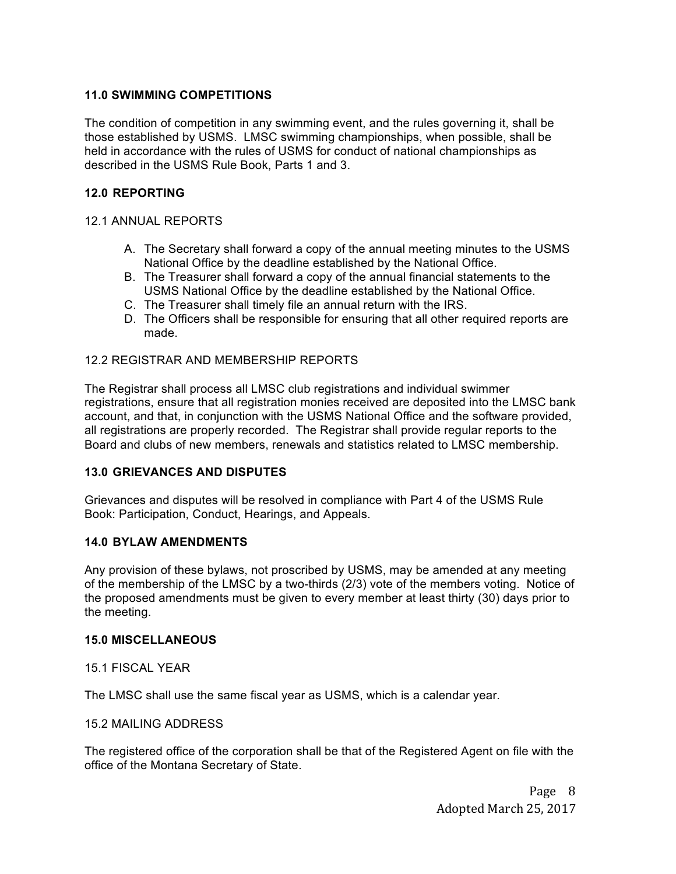# **11.0 SWIMMING COMPETITIONS**

The condition of competition in any swimming event, and the rules governing it, shall be those established by USMS. LMSC swimming championships, when possible, shall be held in accordance with the rules of USMS for conduct of national championships as described in the USMS Rule Book, Parts 1 and 3.

# **12.0 REPORTING**

# 12.1 ANNUAL REPORTS

- A. The Secretary shall forward a copy of the annual meeting minutes to the USMS National Office by the deadline established by the National Office.
- B. The Treasurer shall forward a copy of the annual financial statements to the USMS National Office by the deadline established by the National Office.
- C. The Treasurer shall timely file an annual return with the IRS.
- D. The Officers shall be responsible for ensuring that all other required reports are made.

# 12.2 REGISTRAR AND MEMBERSHIP REPORTS

The Registrar shall process all LMSC club registrations and individual swimmer registrations, ensure that all registration monies received are deposited into the LMSC bank account, and that, in conjunction with the USMS National Office and the software provided, all registrations are properly recorded. The Registrar shall provide regular reports to the Board and clubs of new members, renewals and statistics related to LMSC membership.

### **13.0 GRIEVANCES AND DISPUTES**

Grievances and disputes will be resolved in compliance with Part 4 of the USMS Rule Book: Participation, Conduct, Hearings, and Appeals.

### **14.0 BYLAW AMENDMENTS**

Any provision of these bylaws, not proscribed by USMS, may be amended at any meeting of the membership of the LMSC by a two-thirds (2/3) vote of the members voting. Notice of the proposed amendments must be given to every member at least thirty (30) days prior to the meeting.

### **15.0 MISCELLANEOUS**

15.1 FISCAL YEAR

The LMSC shall use the same fiscal year as USMS, which is a calendar year.

### 15.2 MAILING ADDRESS

The registered office of the corporation shall be that of the Registered Agent on file with the office of the Montana Secretary of State.